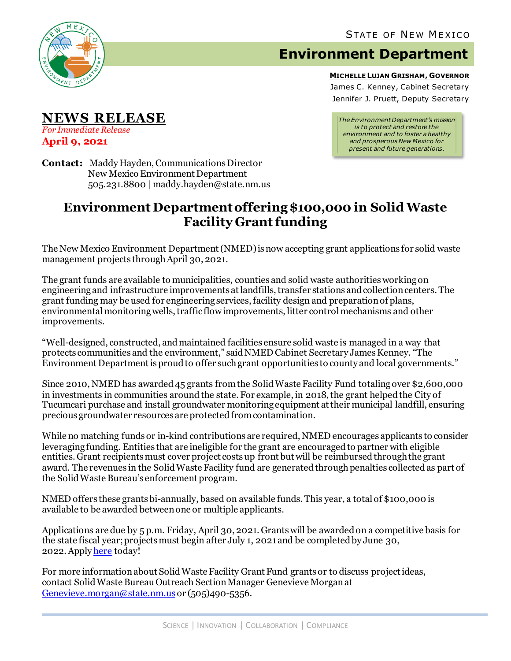

**NEWS RELEASE**

*For Immediate Release* **April 9, 2021**

## **Environment Department**

**MICHELLE LUJAN GRISHAM, GOVERNOR**

James C. Kenney, Cabinet Secretary Jennifer J. Pruett, Deputy Secretary

*The Environment Department's mission is to protect and restore the environment and to foster a healthy and prosperous New Mexico for present and future generations.*

**Contact:** Maddy Hayden, Communications Director New Mexico Environment Department 505.231.8800 | maddy.hayden@state.nm.us

## **Environment Department offering \$100,000 in Solid Waste Facility Grant funding**

The New Mexico Environment Department (NMED) is now accepting grant applications for solid waste management projects through April 30, 2021.

The grant funds are available to municipalities, counties and solid waste authoritiesworking on engineering and infrastructure improvements at landfills, transfer stations and collection centers. The grant funding may be used for engineering services, facility design and preparation of plans, environmental monitoring wells, traffic flow improvements, litter controlmechanisms and other improvements.

"Well-designed, constructed, and maintained facilities ensure solid waste is managed in a way that protects communities and the environment," saidNMED Cabinet Secretary James Kenney. "The Environment Departmentis proud to offer such grant opportunities to county and local governments."

Since 2010, NMED has awarded 45 grants from the Solid Waste Facility Fund totaling over \$2,600,000 in investments in communities around the state. For example, in 2018, the grant helped the City of Tucumcari purchase and install groundwater monitoring equipment attheir municipal landfill, ensuring precious groundwater resources are protected from contamination.

While no matching funds or in-kind contributions are required, NMED encourages applicants to consider leveraging funding. Entities that are ineligible for the grant are encouraged to partner with eligible entities. Grant recipientsmust cover project costs up front but will be reimbursed through the grant award. The revenues in the Solid Waste Facility fund are generated through penalties collected as part of the Solid Waste Bureau's enforcement program.

NMED offers these grantsbi-annually, based on available funds. This year, a total of \$100,000 is available to be awarded between one or multiple applicants.

Applications are due by 5 p.m. Friday, April 30, 2021. Grants will be awarded on a competitive basis for the state fiscal year; projectsmust begin after July 1, 2021 and be completed by June 30, 2022.Apply [here](https://www.env.nm.gov/solid-waste/grant-programs/) today!

For more information about Solid Waste Facility Grant Fund grants or to discuss project ideas, contact Solid Waste Bureau Outreach SectionManager Genevieve Morgan at [Genevieve.morgan@state.nm.us](mailto:Genevieve.morgan@state.nm.us) or (505)490-5356.